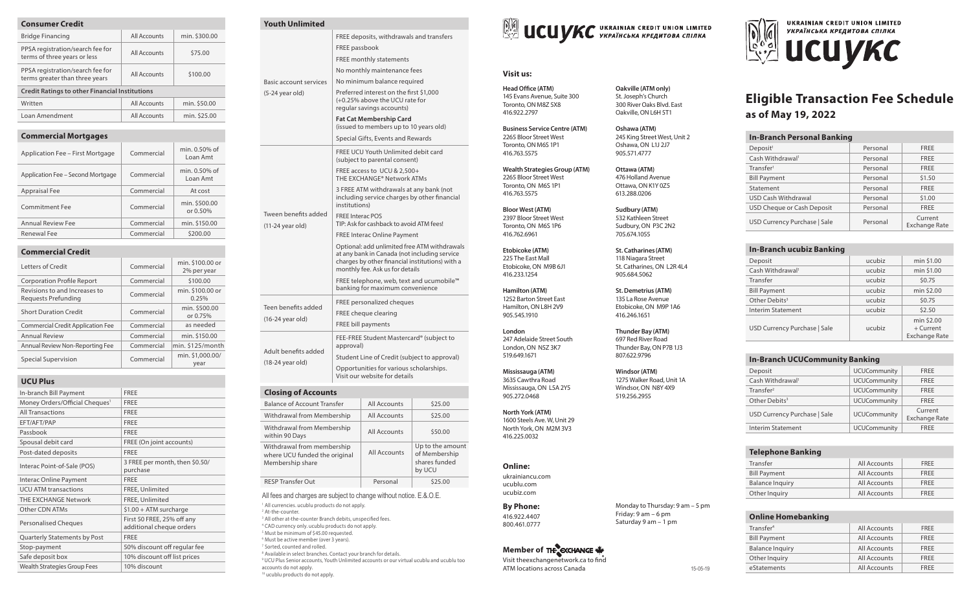| <b>Consumer Credit</b>                                             |              |               |  |
|--------------------------------------------------------------------|--------------|---------------|--|
| <b>Bridge Financing</b>                                            | All Accounts | min. \$300.00 |  |
| PPSA registration/search fee for<br>terms of three years or less   | All Accounts | \$75.00       |  |
| PPSA registration/search fee for<br>terms greater than three years | All Accounts | \$100.00      |  |
| <b>Credit Ratings to other Financial Institutions</b>              |              |               |  |
| Written                                                            | All Accounts | min. \$50.00  |  |
| Loan Amendment                                                     | All Accounts | min. \$25.00  |  |
|                                                                    |              |               |  |

#### **Commercial Mortgages**

| Application Fee - First Mortgage  | Commercial | min. 0.50% of<br>Loan Amt |
|-----------------------------------|------------|---------------------------|
| Application Fee - Second Mortgage | Commercial | min. 0.50% of<br>Loan Amt |
| <b>Appraisal Fee</b>              | Commercial | At cost                   |
| Commitment Fee                    | Commercial | min. \$500.00<br>or 0.50% |
| <b>Annual Review Fee</b>          | Commercial | min. \$150.00             |
| <b>Renewal Fee</b>                | Commercial | \$200.00                  |

### **Commercial Credit**

| Letters of Credit                                    | Commercial | min. \$100.00 or<br>2% per year |
|------------------------------------------------------|------------|---------------------------------|
| <b>Corporation Profile Report</b>                    | Commercial | \$100.00                        |
| Revisions to and Increases to<br>Requests Prefunding | Commercial | min. \$100.00 or<br>0.25%       |
| <b>Short Duration Credit</b>                         | Commercial | min. \$500.00<br>or 0.75%       |
| <b>Commercial Credit Application Fee</b>             | Commercial | as needed                       |
| <b>Annual Review</b>                                 | Commercial | min. \$150.00                   |
| Annual Review Non-Reporting Fee                      | Commercial | min. \$125/month                |
| Special Supervision                                  | Commercial | min. \$1,000.00/<br>year        |

## **UCU Plus**

| UCU PIUS                                   |                                                        |
|--------------------------------------------|--------------------------------------------------------|
| In-branch Bill Payment                     | <b>FREE</b>                                            |
| Money Orders/Official Cheques <sup>1</sup> | <b>FREE</b>                                            |
| <b>All Transactions</b>                    | <b>FREE</b>                                            |
| EFT/AFT/PAP                                | <b>FREE</b>                                            |
| Passbook                                   | <b>FREE</b>                                            |
| Spousal debit card                         | FREE (On joint accounts)                               |
| Post-dated deposits                        | <b>FREE</b>                                            |
| Interac Point-of-Sale (POS)                | 3 FREE per month, then \$0.50/<br>purchase             |
| Interac Online Payment                     | <b>FREE</b>                                            |
| <b>UCU ATM transactions</b>                | FREE, Unlimited                                        |
| THE EXCHANGE Network                       | FREE, Unlimited                                        |
| Other CDN ATMs                             | $$1.00 + ATM$ surcharge                                |
| <b>Personalised Cheques</b>                | First 50 FREE, 25% off any<br>additional cheque orders |
| Quarterly Statements by Post               | <b>FREE</b>                                            |
| Stop-payment                               | 50% discount off regular fee                           |
| Safe deposit box                           | 10% discount off list prices                           |
| Wealth Strategies Group Fees               | 10% discount                                           |

#### **Closing of Accounts** Balance of Account Transfer | All Accounts | \$25.00 Withdrawal from Membership | All Accounts | \$25.00 Withdrawal from Membership within 90 Days and Membership All Accounts \$50.00 RESP Transfer Out Personal \$25.00 <sup>1</sup> All currencies. ucublu products do not apply. 2 At-the-counter. <sup>3</sup> All other at-the-counter Branch debits, unspecified fees. Basic account services (5-24 year old) No minimum balance required Preferred interest on the first \$1,000 (+0.25% above the UCU rate for regular savings accounts) **Fat Cat Membership Card** (issued to members up to 10 years old) Special Gifts, Events and Rewards Tween benefits added (11-24 year old) FREE UCU Youth Unlimited debit card (subject to parental consent) FREE access to UCU & 2,500+ THE EXCHANGE® Network ATMs 3 FREE ATM withdrawals at any bank (not including service charges by other financial institutions) FREE Interac POS TIP: Ask for cashback to avoid ATM fees! FREE Interac Online Payment Optional: add unlimited free ATM withdrawals at any bank in Canada (not including service charges by other financial institutions) with a monthly fee. Ask us for details FREE telephone, web, text and ucumobile™ banking for maximum convenience Teen benefits added (16-24 year old) FREE personalized cheques FREE cheque clearing FREE bill payments Adult benefits added (18-24 year old) FEE-FREE Student Mastercard® (subject to approval) Student Line of Credit (subject to approval) Opportunities for various scholarships. Visit our website for details All fees and charges are subject to change without notice. E.&.O.E. Withdrawal from membership where UCU funded the original Membership share All Accounts Up to the amount of Membership shares funded by UCU

FREE deposits, withdrawals and transfers

FREE passbook FREE monthly statements No monthly maintenance fees

4 CAD currency only. ucublu products do not apply. 5 Must be minimum of \$45.00 requested. 6 Must be active member (over 3 years). 7 Sorted, counted and rolled.

accounts do not apply. <sup>10</sup> ucublu products do not apply.

**Youth Unlimited**

<sup>8</sup> Available in select branches. Contact your branch for details.

9 UCU Plus Senior accounts, Youth Unlimited accounts or our virtual ucublu and ucublu too



**Oakville (ATM only)** St. Joseph's Church 300 River Oaks Blvd. East Oakville, ON L6H 5T1

**Oshawa (ATM)**  245 King Street West, Unit 2 Oshawa, ON L1J 2J7 905.571.4777 **Ottawa (ATM)** 476 Holland Avenue Ottawa, ON K1Y 0Z5 613.288.0206 **Sudbury (ATM)** 532 Kathleen Street Sudbury, ON P3C 2N2 705.674.1055

#### **Visit us:**

**Head Office (ATM)** 145 Evans Avenue, Suite 300 Toronto, ON M8Z 5X8 416.922.2797 **Business Service Centre (ATM)**

2265 Bloor Street West Toronto, ON M6S 1P1 416.763.5575

**Wealth Strategies Group (ATM)** 2265 Bloor Street West Toronto, ON M6S 1P1 416.763.5575

**Bloor West (ATM)** 2397 Bloor Street West Toronto, ON M6S 1P6 416.762.6961

**Etobicoke (ATM)** 225 The East Mall Etobicoke, ON M9B 6J1 416.233.1254

**Hamilton (ATM)** 1252 Barton Street East Hamilton, ON L8H 2V9 905.545.1910

**London** 247 Adelaide Street South London, ON N5Z 3K7 519.649.1671

**Mississauga (ATM)** 3635 Cawthra Road Mississauga, ON L5A 2Y5 905.272.0468

#### **North York (ATM)** 1600 Steels Ave. W, Unit 29

North York, ON M2M 3V3 416.225.0032

#### **Online:**

ukrainiancu.com ucublu.com ucubiz.com

**By Phone:** 416.922.4407 800.461.0777

## **Member of THE EXCHANGE WE**

Visit theexchangenetwork.ca to find ATM locations across Canada 15-05-19



# **Eligible Transaction Fee Schedule as of May 19, 2022**

| <b>In-Branch Personal Banking</b> |          |                                 |  |
|-----------------------------------|----------|---------------------------------|--|
| Deposit <sup>1</sup>              | Personal | <b>FREE</b>                     |  |
| Cash Withdrawal <sup>1</sup>      | Personal | FREE                            |  |
| Transfer <sup>1</sup>             | Personal | FREE                            |  |
| <b>Bill Payment</b>               | Personal | \$1.50                          |  |
| Statement                         | Personal | <b>FREE</b>                     |  |
| <b>USD Cash Withdrawal</b>        | Personal | \$1.00                          |  |
| USD Cheque or Cash Deposit        | Personal | FREE                            |  |
| USD Currency Purchase   Sale      | Personal | Current<br><b>Exchange Rate</b> |  |

#### **In-Branch ucubiz Banking**

| Deposit                      | ucubiz | min \$1.00                                      |
|------------------------------|--------|-------------------------------------------------|
| Cash Withdrawal <sup>1</sup> | ucubiz | min \$1.00                                      |
| Transfer                     | ucubiz | \$0.75                                          |
| <b>Bill Payment</b>          | ucubiz | min \$2.00                                      |
| Other Debits <sup>3</sup>    | ucubiz | \$0.75                                          |
| <b>Interim Statement</b>     | ucubiz | \$2.50                                          |
| USD Currency Purchase   Sale | ucubiz | min \$2.00<br>+ Current<br><b>Exchange Rate</b> |

|  | In-Branch UCUCommunity Banking |  |
|--|--------------------------------|--|
|--|--------------------------------|--|

| Deposit                      | <b>UCUCommunity</b> | <b>FREE</b>                     |
|------------------------------|---------------------|---------------------------------|
| Cash Withdrawal <sup>1</sup> | <b>UCUCommunity</b> | <b>FRFF</b>                     |
| Transfer <sup>2</sup>        | <b>UCUCommunity</b> | <b>FRFF</b>                     |
| Other Debits <sup>3</sup>    | <b>UCUCommunity</b> | FREE                            |
| USD Currency Purchase   Sale | <b>UCUCommunity</b> | Current<br><b>Exchange Rate</b> |
| Interim Statement            | <b>UCUCommunity</b> | <b>FRFF</b>                     |

| <b>Telephone Banking</b> |              |             |
|--------------------------|--------------|-------------|
| Transfer                 | All Accounts | <b>FRFF</b> |
| <b>Bill Payment</b>      | All Accounts | <b>FRFF</b> |
| <b>Balance Inquiry</b>   | All Accounts | FRFF        |
| Other Inquiry            | All Accounts | <b>FRFF</b> |
|                          |              |             |

| <b>Online Homebanking</b> |              |             |
|---------------------------|--------------|-------------|
| Transfer <sup>4</sup>     | All Accounts | <b>FRFF</b> |
| <b>Bill Payment</b>       | All Accounts | <b>FRFF</b> |
| <b>Balance Inquiry</b>    | All Accounts | <b>FRFF</b> |
| Other Inquiry             | All Accounts | <b>FRFF</b> |
| eStatements               | All Accounts | <b>FRFF</b> |

**St. Catharines (ATM)** 118 Niagara Street St. Catharines, ON L2R 4L4 905.684.5062 **St. Demetrius (ATM)** 135 La Rose Avenue Etobicoke, ON M9P 1A6 416.246.1651

> **Thunder Bay (ATM)** 697 Red River Road Thunder Bay, ON P7B 1J3 807.622.9796

> > **Windsor (ATM)** 1275 Walker Road, Unit 1A Windsor, ON N8Y 4X9 519.256.2955

Monday to Thursday: 9 am – 5 pm Friday: 9 am – 6 pm Saturday 9 am – 1 pm